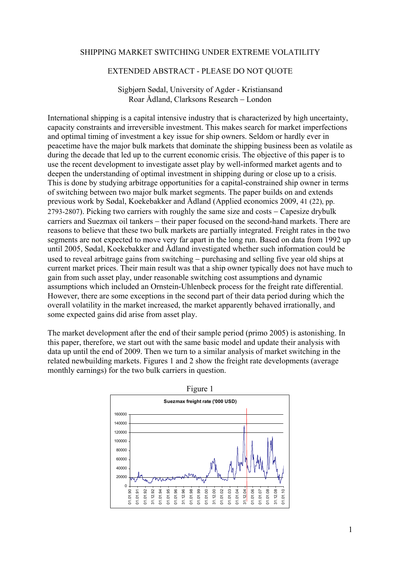## SHIPPING MARKET SWITCHING UNDER EXTREME VOLATILITY

## EXTENDED ABSTRACT - PLEASE DO NOT QUOTE

## Sigbjørn Sødal, University of Agder - Kristiansand Roar Ådland, Clarksons Research − London

International shipping is a capital intensive industry that is characterized by high uncertainty, capacity constraints and irreversible investment. This makes search for market imperfections and optimal timing of investment a key issue for ship owners. Seldom or hardly ever in peacetime have the major bulk markets that dominate the shipping business been as volatile as during the decade that led up to the current economic crisis. The objective of this paper is to use the recent development to investigate asset play by well-informed market agents and to deepen the understanding of optimal investment in shipping during or close up to a crisis. This is done by studying arbitrage opportunities for a capital-constrained ship owner in terms of switching between two major bulk market segments. The paper builds on and extends previous work by Sødal, Koekebakker and Ådland (Applied economics 2009, 41 (22), pp. 2793-2807). Picking two carriers with roughly the same size and costs − Capesize drybulk carriers and Suezmax oil tankers − their paper focused on the second-hand markets. There are reasons to believe that these two bulk markets are partially integrated. Freight rates in the two segments are not expected to move very far apart in the long run. Based on data from 1992 up until 2005, Sødal, Koekebakker and Ådland investigated whether such information could be used to reveal arbitrage gains from switching − purchasing and selling five year old ships at current market prices. Their main result was that a ship owner typically does not have much to gain from such asset play, under reasonable switching cost assumptions and dynamic assumptions which included an Ornstein-Uhlenbeck process for the freight rate differential. However, there are some exceptions in the second part of their data period during which the overall volatility in the market increased, the market apparently behaved irrationally, and some expected gains did arise from asset play.

The market development after the end of their sample period (primo 2005) is astonishing. In this paper, therefore, we start out with the same basic model and update their analysis with data up until the end of 2009. Then we turn to a similar analysis of market switching in the related newbuilding markets. Figures 1 and 2 show the freight rate developments (average monthly earnings) for the two bulk carriers in question.



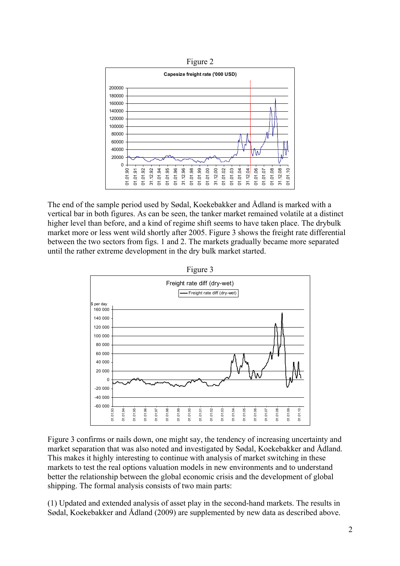

The end of the sample period used by Sødal, Koekebakker and Ådland is marked with a vertical bar in both figures. As can be seen, the tanker market remained volatile at a distinct higher level than before, and a kind of regime shift seems to have taken place. The drybulk market more or less went wild shortly after 2005. Figure 3 shows the freight rate differential between the two sectors from figs. 1 and 2. The markets gradually became more separated until the rather extreme development in the dry bulk market started.



Figure 3 confirms or nails down, one might say, the tendency of increasing uncertainty and market separation that was also noted and investigated by Sødal, Koekebakker and Ådland. This makes it highly interesting to continue with analysis of market switching in these markets to test the real options valuation models in new environments and to understand better the relationship between the global economic crisis and the development of global shipping. The formal analysis consists of two main parts:

(1) Updated and extended analysis of asset play in the second-hand markets. The results in Sødal, Koekebakker and Ådland (2009) are supplemented by new data as described above.